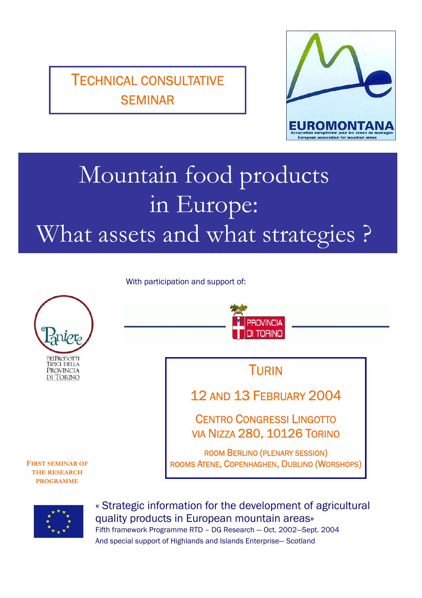TECHNICAL CONSULTATIVE SEMINAR



# Mountain food products in Europe: What assets and what strategies ?

With participation and support of:





« Strategic information for the development of agricultural quality products in European mountain areas» Fifth framework Programme RTD – DG Research — Oct. 2002—Sept. 2004 And special support of Highlands and Islands Enterprise— Scotland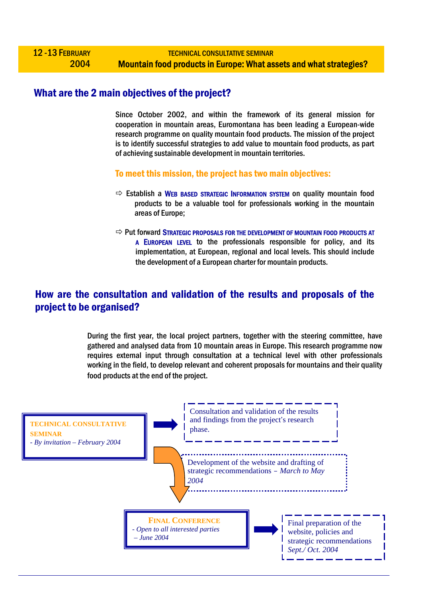## What are the 2 main objectives of the project?

Since October 2002, and within the framework of its general mission for cooperation in mountain areas, Euromontana has been leading a European-wide research programme on quality mountain food products. The mission of the project is to identify successful strategies to add value to mountain food products, as part of achieving sustainable development in mountain territories.

To meet this mission, the project has two main objectives:

- $\Rightarrow$  Establish a WEB BASED STRATEGIC INFORMATION SYSTEM on quality mountain food products to be a valuable tool for professionals working in the mountain areas of Europe;
- $\Rightarrow$  Put forward Strategic proposals for the development of mountain food products at A EUROPEAN LEVEL to the professionals responsible for policy, and its implementation, at European, regional and local levels. This should include the development of a European charter for mountain products.

## How are the consultation and validation of the results and proposals of the project to be organised?

During the first year, the local project partners, together with the steering committee, have gathered and analysed data from 10 mountain areas in Europe. This research programme now requires external input through consultation at a technical level with other professionals working in the field, to develop relevant and coherent proposals for mountains and their quality food products at the end of the project.

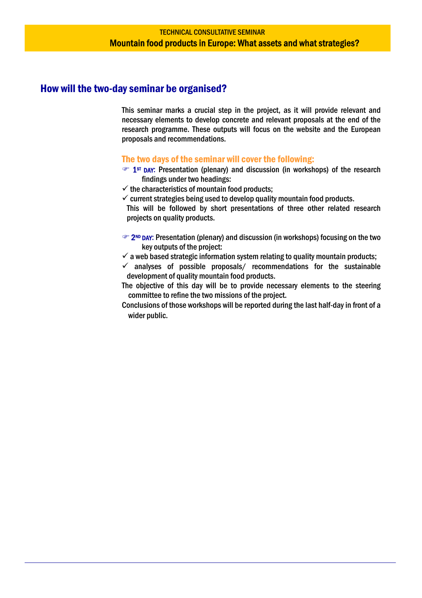## How will the two-day seminar be organised?

This seminar marks a crucial step in the project, as it will provide relevant and necessary elements to develop concrete and relevant proposals at the end of the research programme. These outputs will focus on the website and the European proposals and recommendations.

#### The two days of the seminar will cover the following:

- **THE 1ST DAY:** Presentation (plenary) and discussion (in workshops) of the research findings under two headings:
- $\checkmark$  the characteristics of mountain food products;
- $\checkmark$  current strategies being used to develop quality mountain food products.
- This will be followed by short presentations of three other related research projects on quality products.
- $\infty$  2<sup>ND</sup> DAY: Presentation (plenary) and discussion (in workshops) focusing on the two key outputs of the project:
- $\checkmark$  a web based strategic information system relating to quality mountain products;
- $\checkmark$  analyses of possible proposals/ recommendations for the sustainable development of quality mountain food products.
- The objective of this day will be to provide necessary elements to the steering committee to refine the two missions of the project.
- Conclusions of those workshops will be reported during the last half-day in front of a wider public.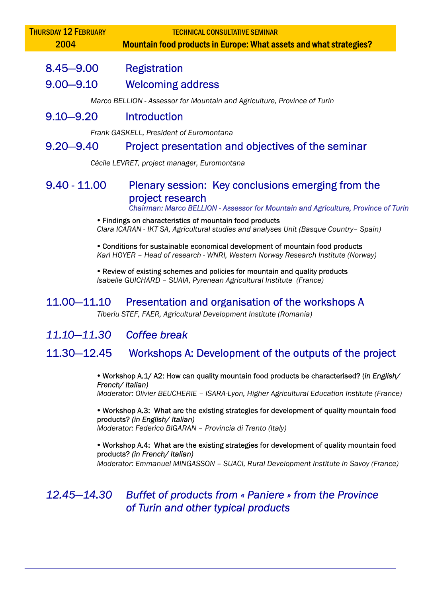| <b>TECHNICAL CONSULTATIVE SEMINAR</b><br><b>Mountain food products in Europe: What assets and what strategies?</b>                                           |
|--------------------------------------------------------------------------------------------------------------------------------------------------------------|
| <b>Registration</b>                                                                                                                                          |
| <b>Welcoming address</b>                                                                                                                                     |
| Marco BELLION - Assessor for Mountain and Agriculture, Province of Turin                                                                                     |
| <b>Introduction</b>                                                                                                                                          |
| Frank GASKELL, President of Euromontana                                                                                                                      |
| Project presentation and objectives of the seminar                                                                                                           |
| Cécile LEVRET, project manager, Euromontana                                                                                                                  |
| Plenary session: Key conclusions emerging from the<br>project research<br>Chairman: Marco BELLION - Assessor for Mountain and Agriculture, Province of Turin |
|                                                                                                                                                              |

y Findings on characteristics of mountain food products *Clara ICARAN - IKT SA, Agricultural studies and analyses Unit (Basque Country– Spain)* 

• Conditions for sustainable economical development of mountain food products *Karl HOYER – Head of research - WNRI, Western Norway Research Institute (Norway)* 

• Review of existing schemes and policies for mountain and quality products *Isabelle GUICHARD – SUAIA, Pyrenean Agricultural Institute (France)*

## 11.00—11.10 Presentation and organisation of the workshops A

*Tiberiu STEF, FAER, Agricultural Development Institute (Romania)*

## *11.10—11.30 Coffee break*

## 11.30—12.45 Workshops A: Development of the outputs of the project

y Workshop A.1/ A2: How can quality mountain food products be characterised? (*in English/ French/ Italian) Moderator: Olivier BEUCHERIE – ISARA-Lyon, Higher Agricultural Education Institute (France)* 

• Workshop A.3: What are the existing strategies for development of quality mountain food products? *(in English/ Italian)* 

*Moderator: Federico BIGARAN – Provincia di Trento (Italy)* 

• Workshop A.4: What are the existing strategies for development of quality mountain food products? *(in French/ Italian)* 

*Moderator: Emmanuel MINGASSON – SUACI, Rural Development Institute in Savoy (France)*

*12.45—14.30 Buffet of products from « Paniere » from the Province of Turin and other typical products*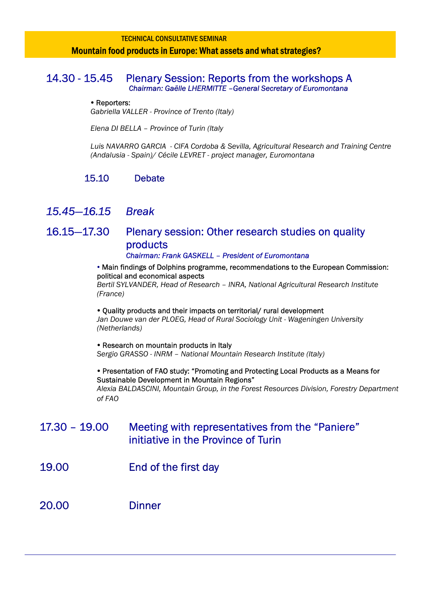## TECHNICAL CONSULTATIVE SEMINAR Mountain food products in Europe: What assets and what strategies?

#### 14.30 - 15.45 Plenary Session: Reports from the workshops A  *Chairman: Gaëlle LHERMITTE –General Secretary of Euromontana*

#### • Reporters:

*Gabriella VALLER - Province of Trento (Italy)* 

*Elena DI BELLA – Province of Turin (Italy* 

*Luis NAVARRO GARCIA - CIFA Cordoba & Sevilla, Agricultural Research and Training Centre (Andalusia - Spain)/ Cécile LEVRET - project manager, Euromontana* 

## 15.10 Debate

## *15.45—16.15 Break*

## 16.15—17.30 Plenary session: Other research studies on quality products *Chairman: Frank GASKELL – President of Euromontana*

#### • Main findings of Dolphins programme, recommendations to the European Commission: political and economical aspects

*Bertil SYLVANDER, Head of Research – INRA, National Agricultural Research Institute (France)* 

#### • Ouality products and their impacts on territorial/ rural development

Jan Douwe van der PLOEG, Head of Rural Sociology Unit - Wageningen University *(Netherlands)* 

• Research on mountain products in Italy *Sergio GRASSO - INRM – National Mountain Research Institute (Italy)* 

#### • Presentation of FAO study: "Promoting and Protecting Local Products as a Means for Sustainable Development in Mountain Regions"

*Alexia BALDASCINI, Mountain Group, in the Forest Resources Division, Forestry Department of FAO*

## 17.30 – 19.00 Meeting with representatives from the "Paniere" initiative in the Province of Turin

19.00 End of the first day

20.00 Dinner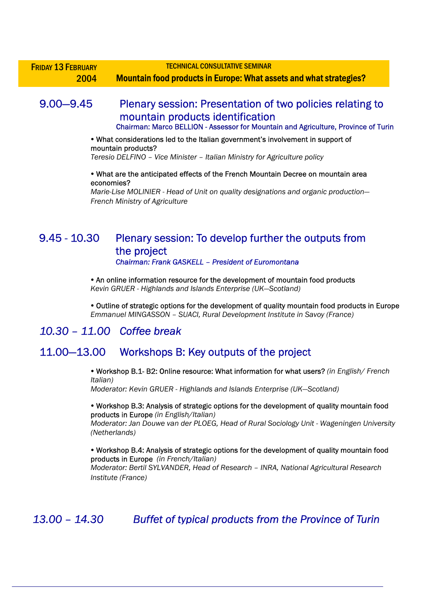| <b>FRIDAY 13 FEBRUARY</b> | <b>TECHNICAL CONSULTATIVE SEMINAR</b>                              |
|---------------------------|--------------------------------------------------------------------|
| 2004                      | Mountain food products in Europe: What assets and what strategies? |

## 9.00—9.45 Plenary session: Presentation of two policies relating to mountain products identification Chairman: Marco BELLION - Assessor for Mountain and Agriculture, Province of Turin

#### • What considerations led to the Italian government's involvement in support of mountain products?

*Teresio DELFINO – Vice Minister – Italian Ministry for Agriculture policy* 

#### y What are the anticipated effects of the French Mountain Decree on mountain area economies?

*Marie-Lise MOLINIER - Head of Unit on quality designations and organic production— French Ministry of Agriculture*

## 9.45 - 10.30 Plenary session: To develop further the outputs from the project *Chairman: Frank GASKELL – President of Euromontana*

• An online information resource for the development of mountain food products *Kevin GRUER - Highlands and Islands Enterprise (UK—Scotland)* 

• Outline of strategic options for the development of quality mountain food products in Europe *Emmanuel MINGASSON – SUACI, Rural Development Institute in Savoy (France)*

## *10.30 – 11.00 Coffee break*

## 11.00—13.00 Workshops B: Key outputs of the project

y Workshop B.1- B2: Online resource: What information for what users? *(in English/ French Italian)* 

*Moderator: Kevin GRUER - Highlands and Islands Enterprise (UK—Scotland)* 

#### y Workshop B.3: Analysis of strategic options for the development of quality mountain food products in Europe *(in English/Italian)*

*Moderator: Jan Douwe van der PLOEG, Head of Rural Sociology Unit - Wageningen University (Netherlands)* 

y Workshop B.4: Analysis of strategic options for the development of quality mountain food products in Europe *(in French/Italian) Moderator: Bertil SYLVANDER, Head of Research – INRA, National Agricultural Research Institute (France)* 

*13.00 – 14.30 Buffet of typical products from the Province of Turin*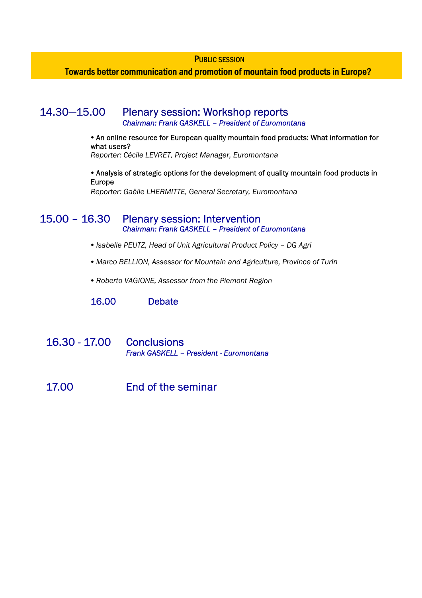PUBLIC SESSION

Towards better communication and promotion of mountain food products in Europe?

## 14.30—15.00 Plenary session: Workshop reports

*Chairman: Frank GASKELL – President of Euromontana* 

• An online resource for European quality mountain food products: What information for what users?

*Reporter: Cécile LEVRET, Project Manager, Euromontana* 

• Analysis of strategic options for the development of quality mountain food products in Europe

*Reporter: Gaëlle LHERMITTE, General Secretary, Euromontana*

## 15.00 – 16.30 Plenary session: Intervention *Chairman: Frank GASKELL – President of Euromontana*

- y *Isabelle PEUTZ, Head of Unit Agricultural Product Policy DG Agri*
- Marco BELLION, Assessor for Mountain and Agriculture, Province of Turin
- y *Roberto VAGIONE, Assessor from the Piemont Region*

16.00 Debate

- 16.30 17.00 Conclusions *Frank GASKELL – President - Euromontana*
- 17.00 End of the seminar